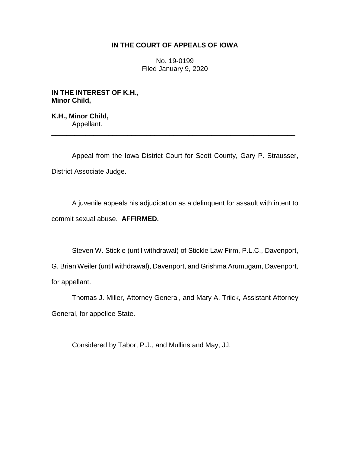# **IN THE COURT OF APPEALS OF IOWA**

No. 19-0199 Filed January 9, 2020

**IN THE INTEREST OF K.H., Minor Child,**

**K.H., Minor Child,** Appellant.

Appeal from the Iowa District Court for Scott County, Gary P. Strausser, District Associate Judge.

\_\_\_\_\_\_\_\_\_\_\_\_\_\_\_\_\_\_\_\_\_\_\_\_\_\_\_\_\_\_\_\_\_\_\_\_\_\_\_\_\_\_\_\_\_\_\_\_\_\_\_\_\_\_\_\_\_\_\_\_\_\_\_\_

A juvenile appeals his adjudication as a delinquent for assault with intent to commit sexual abuse. **AFFIRMED.**

Steven W. Stickle (until withdrawal) of Stickle Law Firm, P.L.C., Davenport, G. Brian Weiler (until withdrawal), Davenport, and Grishma Arumugam, Davenport, for appellant.

Thomas J. Miller, Attorney General, and Mary A. Triick, Assistant Attorney General, for appellee State.

Considered by Tabor, P.J., and Mullins and May, JJ.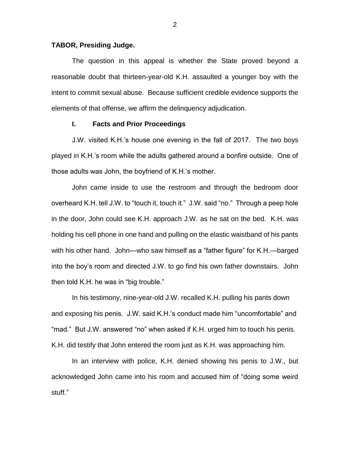### **TABOR, Presiding Judge.**

The question in this appeal is whether the State proved beyond a reasonable doubt that thirteen-year-old K.H. assaulted a younger boy with the intent to commit sexual abuse. Because sufficient credible evidence supports the elements of that offense, we affirm the delinquency adjudication.

## **I. Facts and Prior Proceedings**

J.W. visited K.H.'s house one evening in the fall of 2017. The two boys played in K.H.'s room while the adults gathered around a bonfire outside. One of those adults was John, the boyfriend of K.H.'s mother.

John came inside to use the restroom and through the bedroom door overheard K.H. tell J.W. to "touch it, touch it." J.W. said "no." Through a peep hole in the door, John could see K.H. approach J.W. as he sat on the bed. K.H. was holding his cell phone in one hand and pulling on the elastic waistband of his pants with his other hand. John—who saw himself as a "father figure" for K.H.—barged into the boy's room and directed J.W. to go find his own father downstairs. John then told K.H. he was in "big trouble."

In his testimony, nine-year-old J.W. recalled K.H. pulling his pants down and exposing his penis. J.W. said K.H.'s conduct made him "uncomfortable" and "mad." But J.W. answered "no" when asked if K.H. urged him to touch his penis. K.H. did testify that John entered the room just as K.H. was approaching him.

In an interview with police, K.H. denied showing his penis to J.W., but acknowledged John came into his room and accused him of "doing some weird stuff."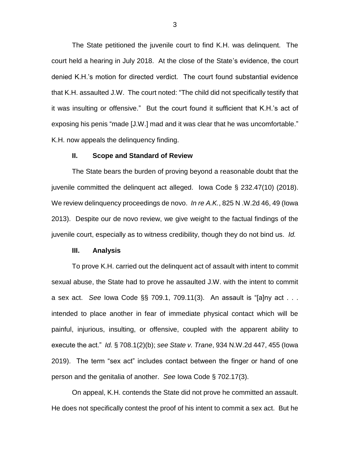The State petitioned the juvenile court to find K.H. was delinquent. The court held a hearing in July 2018. At the close of the State's evidence, the court denied K.H.'s motion for directed verdict. The court found substantial evidence that K.H. assaulted J.W. The court noted: "The child did not specifically testify that it was insulting or offensive." But the court found it sufficient that K.H.'s act of exposing his penis "made [J.W.] mad and it was clear that he was uncomfortable." K.H. now appeals the delinquency finding.

#### **II. Scope and Standard of Review**

The State bears the burden of proving beyond a reasonable doubt that the juvenile committed the delinquent act alleged. Iowa Code § 232.47(10) (2018). We review delinquency proceedings de novo. *In re A.K.*, 825 N .W.2d 46, 49 (Iowa 2013). Despite our de novo review, we give weight to the factual findings of the juvenile court, especially as to witness credibility, though they do not bind us. *Id.*

## **III. Analysis**

To prove K.H. carried out the delinquent act of assault with intent to commit sexual abuse, the State had to prove he assaulted J.W. with the intent to commit a sex act. *See* Iowa Code §§ 709.1, 709.11(3). An assault is "[a]ny act . . . intended to place another in fear of immediate physical contact which will be painful, injurious, insulting, or offensive, coupled with the apparent ability to execute the act." *Id.* § 708.1(2)(b); *see State v. Trane*, 934 N.W.2d 447, 455 (Iowa 2019). The term "sex act" includes contact between the finger or hand of one person and the genitalia of another. *See* Iowa Code § 702.17(3).

On appeal, K.H. contends the State did not prove he committed an assault. He does not specifically contest the proof of his intent to commit a sex act. But he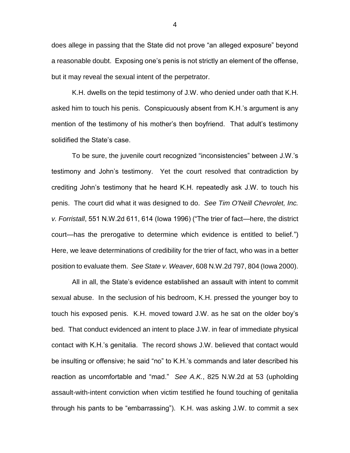does allege in passing that the State did not prove "an alleged exposure" beyond a reasonable doubt. Exposing one's penis is not strictly an element of the offense, but it may reveal the sexual intent of the perpetrator.

K.H. dwells on the tepid testimony of J.W. who denied under oath that K.H. asked him to touch his penis. Conspicuously absent from K.H.'s argument is any mention of the testimony of his mother's then boyfriend. That adult's testimony solidified the State's case.

To be sure, the juvenile court recognized "inconsistencies" between J.W.'s testimony and John's testimony. Yet the court resolved that contradiction by crediting John's testimony that he heard K.H. repeatedly ask J.W. to touch his penis. The court did what it was designed to do. *See Tim O'Neill Chevrolet, Inc. v. Forristall*, 551 N.W.2d 611, 614 (Iowa 1996) ("The trier of fact—here, the district court—has the prerogative to determine which evidence is entitled to belief.") Here, we leave determinations of credibility for the trier of fact, who was in a better position to evaluate them. *See State v. Weaver*, 608 N.W.2d 797, 804 (Iowa 2000).

All in all, the State's evidence established an assault with intent to commit sexual abuse. In the seclusion of his bedroom, K.H. pressed the younger boy to touch his exposed penis. K.H. moved toward J.W. as he sat on the older boy's bed. That conduct evidenced an intent to place J.W. in fear of immediate physical contact with K.H.'s genitalia. The record shows J.W. believed that contact would be insulting or offensive; he said "no" to K.H.'s commands and later described his reaction as uncomfortable and "mad." *See A.K.*, 825 N.W.2d at 53 (upholding assault-with-intent conviction when victim testified he found touching of genitalia through his pants to be "embarrassing"). K.H. was asking J.W. to commit a sex